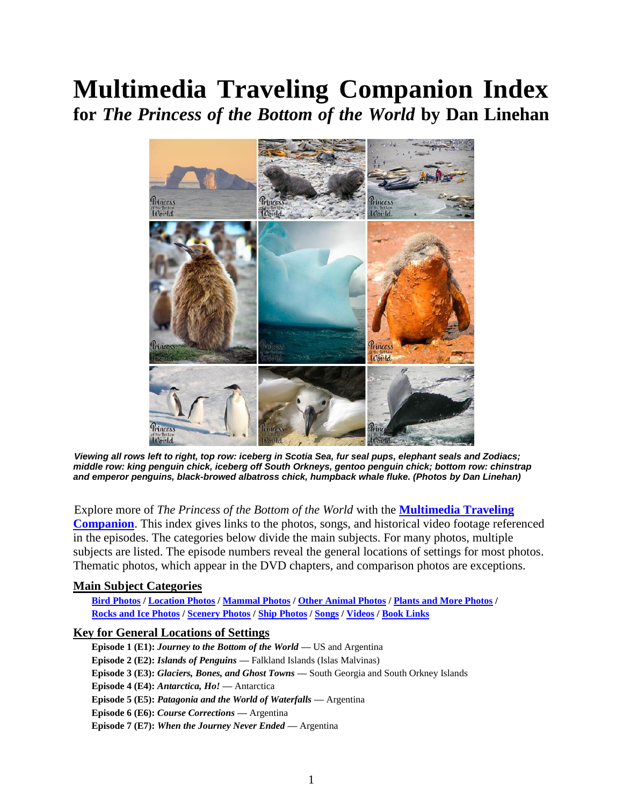# **Multimedia Traveling Companion Index for** *The Princess of the Bottom of the World* **by Dan Linehan**



*Viewing all rows left to right, top row: iceberg in Scotia Sea, fur seal pups, elephant seals and Zodiacs; middle row: king penguin chick, iceberg off South Orkneys, gentoo penguin chick; bottom row: chinstrap and emperor penguins, black-browed albatross chick, humpback whale fluke. (Photos by Dan Linehan)*

Explore more of *The Princess of the Bottom of the World* with the **[Multimedia Traveling](https://www.dslinehan.com/princess)  [Companion](https://www.dslinehan.com/princess)**. This index gives links to the photos, songs, and historical video footage referenced in the episodes. The categories below divide the main subjects. For many photos, multiple subjects are listed. The episode numbers reveal the general locations of settings for most photos. Thematic photos, which appear in the DVD chapters, and comparison photos are exceptions.

# <span id="page-0-0"></span>**Main Subject Categories**

**[Bird Photos](#page-1-0) [/ Location Photos](#page-1-1) / [Mammal Photos](#page-1-2) / [Other Animal Photos](#page-2-0) / [Plants and More Photos](#page-2-1) / [Rocks and Ice Photos](#page-2-2) / [Scenery Photos](#page-3-0) [/ Ship Photos](#page-3-1) [/ Songs](#page-3-2) [/ Videos](#page-4-0) [/ Book Links](#page-4-1)**

# **Key for General Locations of Settings**

**Episode 1 (E1):** *Journey to the Bottom of the World* **—** US and Argentina **Episode 2 (E2):** *Islands of Penguins* **—** Falkland Islands (Islas Malvinas) **Episode 3 (E3):** *Glaciers, Bones, and Ghost Towns* **—** South Georgia and South Orkney Islands **Episode 4 (E4):** *Antarctica, Ho!* **—** Antarctica **Episode 5 (E5):** *Patagonia and the World of Waterfalls* **—** Argentina **Episode 6 (E6):** *Course Corrections* **—** Argentina **Episode 7 (E7):** *When the Journey Never Ended* **—** Argentina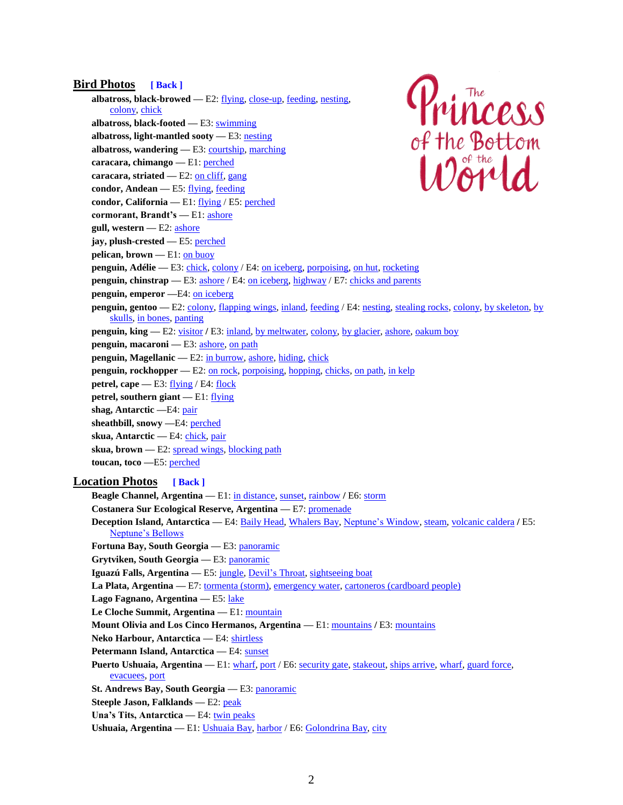#### <span id="page-1-0"></span>**Bird Photos [\[ Back \]](#page-0-0)**

**albatross, black-browed —** E2[: flying,](https://www.dslinehan.com/princess/princess-episode-2/photos.php/#e2-03-albatross-flight) [close-up,](https://www.dslinehan.com/princess/princess-episode-2/photos.php/#e2-28-black-browed) [feeding,](https://www.dslinehan.com/princess/princess-episode-2/photos.php/#e2-29-albatross-feeding) [nesting,](https://www.dslinehan.com/princess/princess-episode-2/photos.php/#e2-31-albatross-chick)  [colony,](https://www.dslinehan.com/princess/princess-episode-2/photos.php/#e2-27-albatross-colony) [chick](https://www.dslinehan.com/princess/princess-episode-2/photos.php/#e2-30-chick-alone)

**albatross, black-footed —** E3: [swimming](https://www.dslinehan.com/princess/princess-episode-3/photos.php/#e3-22-monterey-albatross)

- **albatross, light-mantled sooty —** E3: [nesting](https://www.dslinehan.com/princess/princess-episode-3/photos.php/#e3-31-sootie-albatrosses)
- albatross, wandering E3: [courtship,](https://www.dslinehan.com/princess/princess-episode-3/photos.php/#e3-04-wandering-albatrosses) [marching](https://www.dslinehan.com/princess/princess-episode-3/photos.php/#e3-05-marching-wanderer)
- **caracara, chimango —** E1: [perched](https://www.dslinehan.com/princess/princess-episode-1/photos.php/#e1-10-chimango-caracaras)
- **caracara, striated —** E2[: on cliff,](https://www.dslinehan.com/princess/princess-episode-2/photos.php/#e2-25-caracara-cliff) [gang](https://www.dslinehan.com/princess/princess-episode-2/photos.php/#e2-26-caracara-gang)
- **condor, Andean —** E5[: flying,](https://www.dslinehan.com/princess/princess-episode-5/photos.php/#e5-13-condors-flying) [feeding](https://www.dslinehan.com/princess/princess-episode-5/photos.php/#e5-12-andean-condors)
- **condor, California —** E1: [flying](https://www.dslinehan.com/princess/princess-episode-1/photos.php/#e1-27-condor-flying) / E5[: perched](https://www.dslinehan.com/princess/princess-episode-5/photos.php/#e5-30-california-condor)
- <span id="page-1-1"></span>**cormorant, Brandt's —** E1[: ashore](https://www.dslinehan.com/princess/princess-episode-1/photos.php/#e1-24-monterey-cormorant)
- **gull, western —** E2[: ashore](https://www.dslinehan.com/princess/princess-episode-2/photos.php/#e2-32-western-gull)
- **jay, plush-crested —** E5[: perched](https://www.dslinehan.com/princess/princess-episode-5/photos.php/#e5-26-iguazu-jay)
- **pelican, brown —** E1: [on buoy](https://www.dslinehan.com/princess/princess-episode-1/photos.php/#e1-23-brown-pelican)
- **penguin, Adélie** E3: [chick,](https://www.dslinehan.com/princess/princess-episode-3/photos.php/#e3-34-muddy-penguin) [colony](https://www.dslinehan.com/princess/princess-episode-3/photos.php/#e3-33-adelie-colony) / E4: [on iceberg,](https://www.dslinehan.com/princess/princess-episode-4/photos.php/#e4-11-adelies-leopard) [porpoising,](https://www.dslinehan.com/princess/princess-episode-4/photos.php/#e4-10-porpoising-adelies) [on hut,](https://www.dslinehan.com/princess/princess-episode-4/photos.php/#e4-16-larsen-hut) [rocketing](https://www.dslinehan.com/princess/princess-episode-4/photos.php/#e4-12-adelie-rocket)
- **penguin, chinstrap** E3: [ashore](https://www.dslinehan.com/princess/princess-episode-3/photos.php/#e3-07-chinstrap-macaronis) / E4[: on iceberg,](https://www.dslinehan.com/princess/princess-episode-4/photos.php/#e4-08-emperor-chinstraps) [highway](https://www.dslinehan.com/princess/princess-episode-4/photos.php/#e4-18-penguin-highway) / E7: [chicks and parents](https://www.dslinehan.com/princess/princess-episode-7/photos.php/#e7-20-chinstrap-family)
- **penguin, emperor —**E4: [on iceberg](https://www.dslinehan.com/princess/princess-episode-4/photos.php/#e4-08-emperor-chinstraps)
- **penguin, gentoo** E2: [colony,](https://www.dslinehan.com/princess/princess-episode-4/photos.php/#e4-49-whale-song) [flapping wings,](https://www.dslinehan.com/princess/princess-episode-2/photos.php/#e2-22-gentoo-flapping) [inland,](https://www.dslinehan.com/princess/princess-episode-2/photos.php/#e2-23-penguins-crossing) [feeding](https://www.dslinehan.com/princess/princess-episode-2/photos.php/#e2-21-gentoo-feeding) / E4[: nesting,](https://www.dslinehan.com/princess/princess-episode-4/photos.php/#e4-41-gentoos-ship) [stealing rocks,](https://www.dslinehan.com/princess/princess-episode-4/photos.php/#e4-26-stealing-rocks) colony, [by skeleton,](https://www.dslinehan.com/princess/princess-episode-4/photos.php/#e4-30-whale-bones) by [skulls,](https://www.dslinehan.com/princess/princess-episode-4/photos.php/#e4-29-blue-whales) [in bones,](https://www.dslinehan.com/princess/princess-episode-4/photos.php/#e4-31-shelter-bones) [panting](https://www.dslinehan.com/princess/princess-episode-4/photos.php/#e4-28-chick-panting)

Princess

of the Bottom

- **penguin, king** E2: [visitor](https://www.dslinehan.com/princess/princess-episode-2/photos.php/#e2-20-king-gentoos) / E3[: inland,](https://www.dslinehan.com/princess/princess-episode-3/photos.php/#e3-37-caribou-penguins) [by meltwater,](https://www.dslinehan.com/princess/princess-episode-3/photos.php/#e3-26-king-meltwater) [colony,](https://www.dslinehan.com/princess/princess-episode-3/photos.php/#e3-24-king-colony) [by glacier,](https://www.dslinehan.com/princess/princess-episode-3/photos.php/#e3-27-on-glacier) [ashore,](https://www.dslinehan.com/princess/princess-episode-3/photos.php/#e3-30-elephants-zodiacs) [oakum boy](https://www.dslinehan.com/princess/princess-episode-3/photos.php/#e3-25-oakum-boy)
- **penguin, macaroni —** E3: [ashore,](https://www.dslinehan.com/princess/princess-episode-3/photos.php/#e3-07-chinstrap-macaronis) [on path](https://www.dslinehan.com/princess/princess-episode-3/photos.php/#e3-06-macaroni-penguins)
- **penguin, Magellanic —** E2: [in burrow,](https://www.dslinehan.com/princess/princess-episode-2/photos.php/#e2-17-magellanics-burrow) [ashore,](https://www.dslinehan.com/princess/princess-episode-2/photos.php/#e2-19-magellanics-beach) [hiding,](https://www.dslinehan.com/princess/princess-episode-2/photos.php/#e2-07-penguin-tussac) [chick](https://www.dslinehan.com/princess/princess-episode-2/photos.php/#e2-18-magellanic-chick)
- **penguin, rockhopper** E2: <u>on rock, [porpoising,](https://www.dslinehan.com/princess/princess-episode-2/photos.php/#e2-10-porpoising-rockhoppers) [hopping,](https://www.dslinehan.com/princess/princess-episode-2/photos.php/#e2-08-rockhopper-hopping) chicks</u>, [on path,](https://www.dslinehan.com/princess/princess-episode-2/photos.php/#e2-14-skua-rockhoppers) [in kelp](https://www.dslinehan.com/princess/princess-episode-2/photos.php/#e2-11-rockhoppers-kelp)
- **petrel, cape E3: [flying](https://www.dslinehan.com/princess/princess-episode-3/photos.php/#e3-32-risting-calving) / E4[: flock](https://www.dslinehan.com/princess/princess-episode-4/photos.php/#e4-46-pintado-flock)**
- **petrel, southern giant —** E1: [flying](https://www.dslinehan.com/princess/princess-episode-1/photos.php/#e1-13-beagle-channel)
- **shag, Antarctic —**E4: [pair](https://www.dslinehan.com/princess/princess-episode-4/photos.php/#e4-13-antarctic-shag)
- **sheathbill, snowy —**E4: [perched](https://www.dslinehan.com/princess/princess-episode-4/photos.php/#e4-14-snowy-sheathbill)
- skua, Antarctic E4: [chick,](https://www.dslinehan.com/princess/princess-episode-4/photos.php/#e4-19-skua-chick) [pair](https://www.dslinehan.com/princess/princess-episode-4/photos.php/#e4-27-skua-pair)
- skua, brown E2: [spread wings,](https://www.dslinehan.com/princess/princess-episode-2/photos.php/#e2-13-skua-wingspan) [blocking path](https://www.dslinehan.com/princess/princess-episode-2/photos.php/#e2-14-skua-rockhoppers)
- **toucan, toco —**E5[: perched](https://www.dslinehan.com/princess/princess-episode-5/photos.php/#e5-17-iguazu-toucan)

## <span id="page-1-2"></span>**Location Photos [\[ Back \]](#page-0-0)**

**Beagle Channel, Argentina —** E1[: in distance,](https://www.dslinehan.com/princess/princess-episode-1/photos.php/#e1-06-ushuaia-mountaintop) [sunset,](https://www.dslinehan.com/princess/princess-episode-1/photos.php/#e1-01-beagle-sunset) [rainbow](https://www.dslinehan.com/princess/princess-episode-1/photos.php/#e1-18-ushuaia-rainbow) **/** E6[: storm](https://www.dslinehan.com/princess/princess-episode-6/photos.php/#e6-22-ushuaia-flight)

- **Costanera Sur Ecological Reserve, Argentina —** E7: [promenade](https://www.dslinehan.com/princess/princess-episode-7/photos.php/#e7-10-costanera-sur)
- **Deception Island, Antarctica —** E4: [Baily Head,](https://www.dslinehan.com/princess/princess-episode-4/photos.php/#e4-48-adele-deception) [Whalers Bay,](https://www.dslinehan.com/princess/princess-episode-4/photos.php/#e4-20-radar-bay) [Neptune's Window,](https://www.dslinehan.com/princess/princess-episode-4/photos.php/#e4-23-boat-volcano) [steam,](https://www.dslinehan.com/princess/princess-episode-4/photos.php/#e4-21-deception-steam) [volcanic caldera](https://www.dslinehan.com/princess/princess-episode-4/photos.php/#e4-44-neptunes-window) **/** E5: [Neptune's Bellows](https://www.dslinehan.com/princess/princess-episode-5/photos.php/#e5-29-neptunes-bellows)
- **Fortuna Bay, South Georgia —** E3: [panoramic](https://www.dslinehan.com/princess/princess-episode-3/photos.php/#e3-23-glacial-flour)
- **Grytviken, South Georgia —** E3: [panoramic](https://www.dslinehan.com/princess/princess-episode-3/photos.php/#e3-21-grytviken-below)
- **Iguazú Falls, Argentina —** E5[: jungle,](https://www.dslinehan.com/princess/princess-episode-5/photos.php/#e5-14-iguazu-falls) [Devil's Throat,](https://www.dslinehan.com/princess/princess-episode-5/photos.php/#e5-15-devils-throat) [sightseeing boat](https://www.dslinehan.com/princess/princess-episode-5/photos.php/#e5-16-waterfall-boat)
- La Plata, Argentina E7[: tormenta \(storm\),](https://www.dslinehan.com/princess/princess-episode-7/photos.php/#e7-16-plata-tormenta) [emergency water,](https://www.dslinehan.com/princess/princess-episode-7/photos.php/#e7-17-emergency-water) [cartoneros \(cardboard people\)](https://www.dslinehan.com/princess/princess-episode-7/photos.php/#e7-02-cartonero-wagon)
- Lago Fagnano, Argentina E5: [lake](https://www.dslinehan.com/princess/princess-episode-5/photos.php/#e5-02-lake-fagnano)
- **Le Cloche Summit, Argentina —** E1: [mountain](https://www.dslinehan.com/princess/princess-episode-1/photos.php/#e1-06-ushuaia-mountaintop)
- **Mount Olivia and Los Cinco Hermanos, Argentina —** E1: [mountains](https://www.dslinehan.com/princess/princess-episode-1/photos.php/#e1-14-olivia-hermanos) **/** E3[: mountains](https://www.dslinehan.com/princess/princess-episode-3/photos.php/#e3-29-hotel-mountains)
- **Neko Harbour, Antarctica —** E4: [shirtless](https://www.dslinehan.com/princess/princess-episode-4/photos.php/#e4-42-shirtless-antarctica)
- **Petermann Island, Antarctica —** E4[: sunset](https://www.dslinehan.com/princess/princess-episode-4/photos.php/#e4-40-petermann-sunset)
- **Puerto Ushuaia, Argentina** E1: [wharf,](https://www.dslinehan.com/princess/princess-episode-6/photos.php/#e6-05-ushuaia-wharf) [port](https://www.dslinehan.com/princess/princess-episode-1/photos.php/#e1-12-ushuaia-port) / E6: [security gate,](https://www.dslinehan.com/princess/princess-episode-6/photos.php/#e6-02-guarded-port) [stakeout,](https://www.dslinehan.com/princess/princess-episode-6/photos.php/#e6-01-puerto-ushuaia) [ships arrive,](https://www.dslinehan.com/princess/princess-episode-6/photos.php/#e6-07-ships-ushuaia) wharf, [guard force,](https://www.dslinehan.com/princess/princess-episode-6/photos.php/#e6-09-argentine-security) [evacuees,](https://www.dslinehan.com/princess/princess-episode-6/photos.php/#e6-08-security-gate) [port](https://www.dslinehan.com/princess/princess-episode-6/photos.php/#e6-25-flight-port)
- **St. Andrews Bay, South Georgia —** E3[: panoramic](https://www.dslinehan.com/princess/princess-episode-3/photos.php/#e3-02-backpack-gloves)
- **Steeple Jason, Falklands —** E2: [peak](https://www.dslinehan.com/princess/princess-episode-2/photos.php/#e2-05-steeple-jason)
- Una's Tits, Antarctica E4: [twin peaks](https://www.dslinehan.com/princess/princess-episode-4/photos.php/#e4-39-unas-tits)
- **Ushuaia, Argentina —** E1: [Ushuaia Bay,](https://www.dslinehan.com/princess/princess-episode-1/photos.php/#e1-06-ushuaia-mountaintop) [harbor](https://www.dslinehan.com/princess/princess-episode-1/photos.php/#e1-05-ushuaia-harbor) / E6: [Golondrina Bay,](https://www.dslinehan.com/princess/princess-episode-6/photos.php/#e6-13-golondrina-bay) [city](https://www.dslinehan.com/princess/princess-episode-6/photos.php/#e6-24-aerial-ushuaia)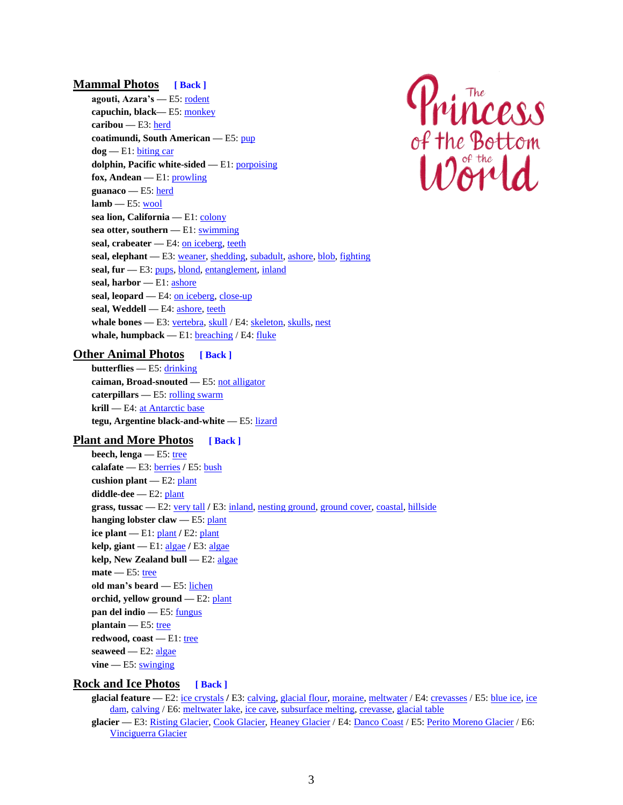## **Mammal Photos [\[ Back \]](#page-0-0)**

<span id="page-2-0"></span>**agouti, Azara's —** E5[: rodent](https://www.dslinehan.com/princess/princess-episode-5/photos.php/#e5-27-iguazu-agouti) **capuchin, black—** E5: [monkey](https://www.dslinehan.com/princess/princess-episode-5/photos.php/#e5-25-iguazu-monkey) **caribou —** E3: [herd](https://www.dslinehan.com/princess/princess-episode-3/photos.php/#e3-37-caribou-penguins) **coatimundi, South American —** E5[: pup](https://www.dslinehan.com/princess/princess-episode-5/photos.php/#e5-18-coatimundi-pup) **dog —** E1[: biting car](https://www.dslinehan.com/princess/princess-episode-1/photos.php/#e1-07-ushuaia-dog) **dolphin, Pacific white-sided —** E1: [porpoising](https://www.dslinehan.com/princess/princess-episode-1/photos.php/#e1-25-monterey-dolphin) **fox, Andean —** E1: [prowling](https://www.dslinehan.com/princess/princess-episode-1/photos.php/#e1-08-fox-zorro) **guanaco —** E5[: herd](https://www.dslinehan.com/princess/princess-episode-5/photos.php/#e5-03-tierra-guanacos) **lamb —** E5[: wool](https://www.dslinehan.com/princess/princess-episode-5/photos.php/#e5-04-lambs-wool) **sea lion, California —** E1[: colony](https://www.dslinehan.com/princess/princess-episode-1/photos.php/#e1-29-sea-lions) sea otter, southern - E1: [swimming](https://www.dslinehan.com/princess/princess-episode-1/photos.php/#e1-22-sea-otters) seal, crabeater — E4: [on iceberg,](https://www.dslinehan.com/princess/princess-episode-4/photos.php/#e4-36-crabeater-iceberg) [teeth](https://www.dslinehan.com/princess/princess-episode-4/photos.php/#e4-37-crabeater-teeth) seal, elephant - E3[: weaner,](https://www.dslinehan.com/princess/princess-episode-3/photos.php/#e3-12-elephant-weaner) [shedding,](https://www.dslinehan.com/princess/princess-episode-3/photos.php/#e3-13-elephant-shedding) [subadult,](https://www.dslinehan.com/princess/princess-episode-3/photos.php/#e3-14-elephant-subadult) [ashore,](https://www.dslinehan.com/princess/princess-episode-3/photos.php/#e3-30-elephants-zodiacs) [blob,](https://www.dslinehan.com/princess/princess-episode-3/photos.php/#e3-15-elephant-seal) [fighting](https://www.dslinehan.com/princess/princess-episode-3/photos.php/#e3-35-elephant-seals) **seal, fur —** E3[: pups,](https://www.dslinehan.com/princess/princess-episode-3/photos.php/#e3-03-seal-pups) [blond,](https://www.dslinehan.com/princess/princess-episode-3/photos.php/#e3-08-blond-seal) [entanglement,](https://www.dslinehan.com/princess/princess-episode-3/photos.php/#e3-09-net-seal) [inland](https://www.dslinehan.com/princess/princess-episode-3/photos.php/#e3-37-caribou-penguins) **seal, harbor —** E1[: ashore](https://www.dslinehan.com/princess/princess-episode-1/photos.php/#e1-21-harbor-seals) seal, leopard — E4: [on iceberg,](https://www.dslinehan.com/princess/princess-episode-4/photos.php/#e4-11-adelies-leopard) [close-up](https://www.dslinehan.com/princess/princess-episode-4/photos.php/#e4-25-leopard-seal) **seal, Weddell —** E4[: ashore,](https://www.dslinehan.com/princess/princess-episode-4/photos.php/#e4-15-weddell-seal) [teeth](https://www.dslinehan.com/princess/princess-episode-4/photos.php/#e4-38-weddell-teeth) whale bones - E3: [vertebra,](https://www.dslinehan.com/princess/princess-episode-3/photos.php/#e3-17-whale-vertebra) [skull](https://www.dslinehan.com/princess/princess-episode-3/photos.php/#e3-16-whale-skull) / E4[: skeleton,](https://www.dslinehan.com/princess/princess-episode-4/photos.php/#e4-30-whale-bones) [skulls,](https://www.dslinehan.com/princess/princess-episode-4/photos.php/#e4-29-blue-whales) [nest](https://www.dslinehan.com/princess/princess-episode-4/photos.php/#e4-31-shelter-bones) **whale, humpback —** E1[: breaching](https://www.dslinehan.com/princess/princess-episode-1/photos.php/#e1-26-humpback-breach) / E4: [fluke](https://www.dslinehan.com/princess/princess-episode-4/photos.php/#e4-45-humpback-fluke)



#### <span id="page-2-1"></span>**Other Animal Photos [\[ Back \]](#page-0-0)**

**butterflies —** E5[: drinking](https://www.dslinehan.com/princess/princess-episode-5/photos.php/#e5-21-iguazu-butterflies) **caiman, Broad-snouted —** E5[: not alligator](https://www.dslinehan.com/princess/princess-episode-5/photos.php/#e5-28-caiman-pesos) **caterpillars —** E5: [rolling swarm](https://www.dslinehan.com/princess/princess-episode-5/photos.php/#e5-22-rolling-swarm) **krill —** E4: [at Antarctic base](https://www.dslinehan.com/princess/princess-episode-4/photos.php/#e4-34-antarctic-krill) **tegu, Argentine black-and-white —** E5: [lizard](https://www.dslinehan.com/princess/princess-episode-5/photos.php/#e5-19-iguazu-lizard)

#### <span id="page-2-2"></span>**Plant and More Photos [\[ Back \]](#page-0-0)**

**beech, lenga —** E5[: tree](https://www.dslinehan.com/princess/princess-episode-5/photos.php/#e5-06-tree-leaves) **calafate —** E3[: berries](https://www.dslinehan.com/princess/princess-episode-3/photos.php/#e3-39-calafate-berries) **/** E5[: bush](https://www.dslinehan.com/princess/princess-episode-5/photos.php/#e5-01-calafate-bush) **cushion plant —** E2[: plant](https://www.dslinehan.com/princess/princess-episode-2/photos.php/#e2-16-cushion-plant) **diddle-dee —** E2: [plant](https://www.dslinehan.com/princess/princess-episode-2/photos.php/#e2-16-cushion-plant) **grass, tussac —** E2[: very tall](https://www.dslinehan.com/princess/princess-episode-2/photos.php/#e2-07-penguin-tussac) **/** E3: [inland,](https://www.dslinehan.com/princess/princess-episode-3/photos.php/#e3-12-elephant-weaner) [nesting ground,](https://www.dslinehan.com/princess/princess-episode-3/photos.php/#e3-04-wandering-albatrosses) [ground cover,](https://www.dslinehan.com/princess/princess-episode-3/photos.php/#e3-05-marching-wanderer) [coastal,](https://www.dslinehan.com/princess/princess-episode-3/photos.php/#e3-09-net-seal) [hillside](https://www.dslinehan.com/princess/princess-episode-3/photos.php/#e3-31-sootie-albatrosses) **hanging lobster claw —** E5[: plant](https://www.dslinehan.com/princess/princess-episode-5/photos.php/#e5-20-jungle-plants) **ice plant —** E1[: plant](https://www.dslinehan.com/princess/princess-episode-1/photos.php/#e1-21-harbor-seals) **/** E2[: plant](https://www.dslinehan.com/princess/princess-episode-2/photos.php/#e2-32-western-gull) **kelp, giant —** E1[: algae](https://www.dslinehan.com/princess/princess-episode-1/photos.php/#e1-22-sea-otters) **/** E3[: algae](https://www.dslinehan.com/princess/princess-episode-3/photos.php/#e3-41-giant-kelp) **kelp, New Zealand bull —** E2: [algae](https://www.dslinehan.com/princess/princess-episode-2/photos.php/#e2-11-rockhoppers-kelp) mate — E5: [tree](https://www.dslinehan.com/princess/princess-episode-5/photos.php/#e5-31-mate-trees) **old man's beard —** E5: [lichen](https://www.dslinehan.com/princess/princess-episode-5/photos.php/#e5-05-beard-lichen) **orchid, yellow ground —** E2[: plant](https://www.dslinehan.com/princess/princess-episode-2/photos.php/#e2-04-yellow-orchid) **pan del indio —** E5[: fungus](https://www.dslinehan.com/princess/princess-episode-5/photos.php/#e5-07-pan-indio) **plantain** — E5[: tree](https://www.dslinehan.com/princess/princess-episode-5/photos.php/#e5-23-banana-tree) **redwood, coast —** E1[: tree](https://www.dslinehan.com/princess/princess-episode-1/photos.php/#e1-09-coast-redwood) **seaweed —** E2: [algae](https://www.dslinehan.com/princess/princess-episode-2/photos.php/#e2-15-rock-seaweed) vine — E5[: swinging](https://www.dslinehan.com/princess/princess-episode-5/photos.php/#e5-24-dan-vine)

#### **Rock and Ice Photos [\[ Back \]](#page-0-0)**

**glacial feature —** E2[: ice crystals](https://www.dslinehan.com/princess/princess-episode-2/photos.php/#e2-24-ice-crystals) **/** E3: [calving,](https://www.dslinehan.com/princess/princess-episode-3/photos.php/#e3-32-risting-calving) [glacial flour,](https://www.dslinehan.com/princess/princess-episode-3/photos.php/#e3-23-glacial-flour) [moraine, meltwater](https://www.dslinehan.com/princess/princess-episode-3/photos.php/#e3-27-on-glacier) / E4[: crevasses](https://www.dslinehan.com/princess/princess-episode-4/photos.php/#e4-43-neko-crevasses) / E5[: blue ice,](https://www.dslinehan.com/princess/princess-episode-5/photos.php/#e5-10-ice-dam) [ice](https://www.dslinehan.com/princess/princess-episode-5/photos.php/#e5-11-calving-splash)  [dam,](https://www.dslinehan.com/princess/princess-episode-5/photos.php/#e5-11-calving-splash) [calving](https://www.dslinehan.com/princess/princess-episode-5/photos.php/#e5-09-perito-calving) / E6: [meltwater lake,](https://www.dslinehan.com/princess/princess-episode-6/photos.php/#e6-23-flight-glacier) [ice cave,](https://www.dslinehan.com/princess/princess-episode-6/photos.php/#e6-27-vinciguerra-collapse) [subsurface melting,](https://www.dslinehan.com/princess/princess-episode-6/photos.php/#e6-31-vinciguerra-melting) [crevasse,](https://www.dslinehan.com/princess/princess-episode-6/photos.php/#e6-28-straddling-crevasse) [glacial table](https://www.dslinehan.com/princess/princess-episode-6/photos.php/#e6-29-glacier-table)

**glacier —** E3: [Risting Glacier,](https://www.dslinehan.com/princess/princess-episode-3/photos.php/#e3-32-risting-calving) [Cook Glacier,](https://www.dslinehan.com/princess/princess-episode-3/photos.php/#e3-02-backpack-gloves) [Heaney Glacier](https://www.dslinehan.com/princess/princess-episode-3/photos.php/#e3-27-on-glacier) / E4[: Danco Coast](https://www.dslinehan.com/princess/princess-episode-4/photos.php/#e4-49-whale-song) / E5[: Perito Moreno Glacier](https://www.dslinehan.com/princess/princess-episode-5/photos.php/#e5-08-sightseeing-boat) / E6: [Vinciguerra Glacier](https://www.dslinehan.com/princess/princess-episode-6/photos.php/#e6-30-vinciguerra-glacier)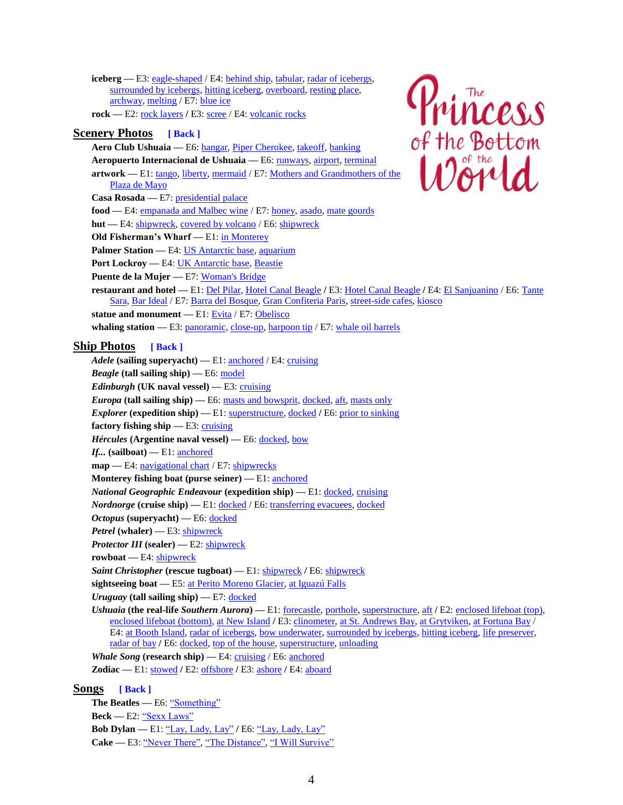**iceberg** — E3[: eagle-shaped](https://www.dslinehan.com/princess/princess-episode-3/photos.php/#e3-36-eagle-iceberg) / E4: [behind ship,](https://www.dslinehan.com/princess/princess-episode-4/photos.php/#e4-41-gentoos-ship) [tabular,](https://www.dslinehan.com/princess/princess-episode-4/photos.php/#e4-01-tabular-icebergs) [radar of icebergs,](https://www.dslinehan.com/princess/princess-episode-4/photos.php/#e4-02-radar-icebergs) [surrounded by icebergs,](https://www.dslinehan.com/princess/princess-episode-4/photos.php/#e4-04-bow-icebergs) [hitting iceberg,](https://www.dslinehan.com/princess/princess-episode-4/photos.php/#e4-05-hitting-iceberg) [overboard,](https://www.dslinehan.com/princess/princess-episode-4/photos.php/#e4-07-life-preserver) [resting place,](https://www.dslinehan.com/princess/princess-episode-4/photos.php/#e4-36-crabeater-iceberg) [archway,](https://www.dslinehan.com/princess/princess-episode-4/photos.php/#e4-09-iceberg-sunset) [melting](https://www.dslinehan.com/princess/princess-episode-4/photos.php/#e4-24-melting-iceberg) / E7: [blue ice](https://www.dslinehan.com/princess/princess-episode-7/photos.php/#e7-19-blue-icebergs)

rock — E2: [rock layers](https://www.dslinehan.com/princess/princess-episode-2/photos.php/#e2-15-rock-seaweed) / E3: [scree](https://www.dslinehan.com/princess/princess-episode-3/photos.php/#e3-28-shadow-scree) / E4[: volcanic rocks](https://www.dslinehan.com/princess/princess-episode-4/photos.php/#e4-17-rocks-snow)

## <span id="page-3-0"></span>**Scenery Photos [\[ Back \]](#page-0-0)**

**Aero Club Ushuaia —** E6: [hangar,](https://www.dslinehan.com/princess/princess-episode-6/photos.php/#e6-18-aeroclub-ushuaia) [Piper Cherokee,](https://www.dslinehan.com/princess/princess-episode-6/photos.php/#e6-19-piper-ushuaia) [takeoff,](https://www.dslinehan.com/princess/princess-episode-6/photos.php/#e6-20-piper-takeoff) [banking](https://www.dslinehan.com/princess/princess-episode-6/photos.php/#e6-21-piper-flying) **Aeropuerto Internacional de Ushuaia —** E6[: runways,](https://www.dslinehan.com/princess/princess-episode-6/photos.php/#e6-26-flight-landing) [airport,](https://www.dslinehan.com/princess/princess-episode-6/photos.php/#e6-32-ushuaia-airport) [terminal](https://www.dslinehan.com/princess/princess-episode-6/photos.php/#e6-33-ushuaia-terminal)

artwork — E1: [tango,](https://www.dslinehan.com/princess/princess-episode-1/photos.php/#e1-02-argentine-tango) [liberty,](https://www.dslinehan.com/princess/princess-episode-1/photos.php/#e1-04-ushuaia-airport) [mermaid](https://www.dslinehan.com/princess/princess-episode-1/photos.php/#e1-19-museum-mermaid) / E7: Mothers and Grandmothers of the [Plaza de Mayo](https://www.dslinehan.com/princess/princess-episode-7/photos.php/#e7-08-abuelas-disappeared)

**Casa Rosada —** E7[: presidential palace](https://www.dslinehan.com/princess/princess-episode-7/photos.php/#e7-07-casa-rosada)

- <span id="page-3-1"></span>food — E4: **empanada and Malbec wine** / E7: **honey**, [asado,](https://www.dslinehan.com/princess/princess-episode-7/photos.php/#e7-05-asado-cruz) [mate gourds](https://www.dslinehan.com/princess/princess-episode-7/photos.php/#e7-15-mate-gourds)
- hut E4[: shipwreck,](https://www.dslinehan.com/princess/princess-episode-4/photos.php/#e4-16-larsen-hut) [covered by volcano](https://www.dslinehan.com/princess/princess-episode-4/photos.php/#e4-22-hut-volcano) / E6[: shipwreck](https://www.dslinehan.com/princess/princess-episode-6/photos.php/#e6-16-antarctic-shipwreck)
- **Old Fisherman's Wharf** E1[: in Monterey](https://www.dslinehan.com/princess/princess-episode-1/photos.php/#e1-29-sea-lions)
- Palmer Station E4: [US Antarctic base,](https://www.dslinehan.com/princess/princess-episode-4/photos.php/#e4-33-palmer-station) [aquarium](https://www.dslinehan.com/princess/princess-episode-4/photos.php/#e4-34-antarctic-krill)
- Port Lockroy E4[: UK Antarctic base,](https://www.dslinehan.com/princess/princess-episode-4/photos.php/#e4-32-port-lockroy) [Beastie](https://www.dslinehan.com/princess/princess-episode-4/photos.php/#e4-47-lockroy-beastie)
- **Puente de la Mujer —** E7[: Woman's Bridge](https://www.dslinehan.com/princess/princess-episode-7/photos.php/#e7-11-womans-bridge)
- **restaurant and hotel —** E1[: Del Pilar,](https://www.dslinehan.com/princess/princess-episode-1/photos.php/#e1-28-del-pilar) [Hotel Canal Beagle](https://www.dslinehan.com/princess/princess-episode-1/photos.php/#e1-05-ushuaia-harbor) **/** E3: [Hotel Canal Beagle](https://www.dslinehan.com/princess/princess-episode-3/photos.php/#e3-29-hotel-mountains) **/** E4: [El Sanjuanino](https://www.dslinehan.com/princess/princess-episode-4/photos.php/#e4-35-empanada-penguino) / E6[: Tante](https://www.dslinehan.com/princess/princess-episode-6/photos.php/#e6-14-tante-sara)  [Sara,](https://www.dslinehan.com/princess/princess-episode-6/photos.php/#e6-14-tante-sara) [Bar Ideal](https://www.dslinehan.com/princess/princess-episode-6/photos.php/#e6-17-bar-ideal) / E7[: Barra del Bosque,](https://www.dslinehan.com/princess/princess-episode-7/photos.php/#e7-01-barra-bosque) [Gran Confiteria Paris,](https://www.dslinehan.com/princess/princess-episode-7/photos.php/#e7-03-confiteria-paris) [street-side cafes,](https://www.dslinehan.com/princess/princess-episode-7/photos.php/#e7-12-san-telmo) [kiosco](https://www.dslinehan.com/princess/princess-episode-7/photos.php/#e7-13-kiosco-recoleta) **statue and monument —** E1: [Evita](https://www.dslinehan.com/princess/princess-episode-1/photos.php/#e1-03-evita-library) / E7: [Obelisco](https://www.dslinehan.com/princess/princess-episode-7/photos.php/#e7-06-obelisco-evita)
- **whaling station** E3: [panoramic,](https://www.dslinehan.com/princess/princess-episode-3/photos.php/#e3-21-grytviken-below) [close-up,](https://www.dslinehan.com/princess/princess-episode-3/photos.php/#e3-19-whaling-station) [harpoon tip](https://www.dslinehan.com/princess/princess-episode-3/photos.php/#e3-20-harpoon-church) / E7: [whale oil barrels](https://www.dslinehan.com/princess/princess-episode-7/photos.php/#e7-18-barrel-remnants)

#### <span id="page-3-2"></span>**Ship Photos [\[ Back \]](#page-0-0)**

- Adele (sailing superyacht) E1[: anchored](https://www.dslinehan.com/princess/princess-episode-1/photos.php/#e1-16-bunk-porthole) / E4: [cruising](https://www.dslinehan.com/princess/princess-episode-4/photos.php/#e4-48-adele-deception) *Beagle* **(tall sailing ship) —** E6[: model](https://www.dslinehan.com/princess/princess-episode-6/photos.php/#e6-15-darwin-beagle) *Edinburgh* **(UK naval vessel)** — E3[: cruising](https://www.dslinehan.com/princess/princess-episode-3/photos.php/#e3-11-hms-edinburgh) *Europa* (tall sailing ship) — E6: [masts and bowsprit,](https://www.dslinehan.com/princess/princess-episode-6/photos.php/#e6-01-puerto-ushuaia) [docked,](https://www.dslinehan.com/princess/princess-episode-6/photos.php/#e6-04-europa-ship) [aft,](https://www.dslinehan.com/princess/princess-episode-6/photos.php/#e6-06-ushuaia-unloading) [masts only](https://www.dslinehan.com/princess/princess-episode-6/photos.php/#e6-07-ships-ushuaia) *Explorer* (expedition ship) — E1: [superstructure,](https://www.dslinehan.com/princess/princess-episode-1/photos.php/#e1-12-ushuaia-port) [docked](https://www.dslinehan.com/princess/princess-episode-1/photos.php/#e1-30-if-sailboat) / E6: [prior to sinking](https://www.dslinehan.com/princess/princess-episode-6/photos.php/#e6-12-explorer-shipwreck) **factory fishing ship** — E3: [cruising](https://www.dslinehan.com/princess/princess-episode-3/photos.php/#e3-10-factory-ship) *Hércules* **(Argentine naval vessel) —** E6[: docked,](https://www.dslinehan.com/princess/princess-episode-6/photos.php/#e6-26-flight-landing) [bow](https://www.dslinehan.com/princess/princess-episode-6/photos.php/#e6-25-flight-port) *If...* **(sailboat) —** E1: [anchored](https://www.dslinehan.com/princess/princess-episode-1/photos.php/#e1-30-if-sailboat) **map** — E4: [navigational chart](https://www.dslinehan.com/princess/princess-episode-4/photos.php/#e4-06-navigation-danger) / E7: [shipwrecks](https://www.dslinehan.com/princess/princess-episode-7/photos.php/#e7-22-shipwreck-map) **Monterey fishing boat (purse seiner) —** E1[: anchored](https://www.dslinehan.com/princess/princess-episode-1/photos.php/#e1-23-brown-pelican) *National Geographic Endeavour* **(expedition ship) —** E1: [docked,](https://www.dslinehan.com/princess/princess-episode-1/photos.php/#e1-12-ushuaia-port) [cruising](https://www.dslinehan.com/princess/princess-episode-1/photos.php/#e1-30-if-sailboat) *Nordnorge* (cruise ship) — E1: [docked](https://www.dslinehan.com/princess/princess-episode-6/photos.php/#e6-08-security-gate) / E6: [transferring evacuees,](https://www.dslinehan.com/princess/princess-episode-6/photos.php/#e6-10-nordkapp-evacuees) docked *Octopus* **(superyacht) —** E6[: docked](https://www.dslinehan.com/princess/princess-episode-6/photos.php/#e6-11-allen-octopus) *Petrel* **(whaler) —** E3[: shipwreck](https://www.dslinehan.com/princess/princess-episode-3/photos.php/#e3-18-harpoon-ship) *Protector III* **(sealer) —** E2: [shipwreck](https://www.dslinehan.com/princess/princess-episode-2/photos.php/#e2-06-shipwreck-protector) **rowboat —** E4[: shipwreck](https://www.dslinehan.com/princess/princess-episode-4/photos.php/#e4-23-boat-volcano) *Saint Christopher* **(rescue tugboat) —** E1: [shipwreck](https://www.dslinehan.com/princess/princess-episode-1/photos.php/#e1-11-shipwreck-christoper) **/** E6: [shipwreck](https://www.dslinehan.com/princess/princess-episode-6/photos.php/#e6-26-flight-landing)
- **sightseeing boat —** E5[: at Perito Moreno Glacier,](https://www.dslinehan.com/princess/princess-episode-5/photos.php/#e5-08-sightseeing-boat) [at Iguazú Falls](https://www.dslinehan.com/princess/princess-episode-5/photos.php/#e5-16-waterfall-boat)

*Uruguay* **(tall sailing ship) —** E7[: docked](https://www.dslinehan.com/princess/princess-episode-7/photos.php/#e7-09-uruguay-ship)

*Ushuaia* **(the real-life** *Southern Aurora***) —** E1: [forecastle,](https://www.dslinehan.com/princess/princess-episode-1/photos.php/#e1-17-ushuaia-wharf) [porthole,](https://www.dslinehan.com/princess/princess-episode-1/photos.php/#e1-16-bunk-porthole) [superstructure,](https://www.dslinehan.com/princess/princess-episode-1/photos.php/#e1-12-ushuaia-port) [aft](https://www.dslinehan.com/princess/princess-episode-1/photos.php/#e1-15-stowed-zodiacs) **/** E2: [enclosed lifeboat \(top\),](https://www.dslinehan.com/princess/princess-episode-2/photos.php/#e2-01-lifeboat-test)  [enclosed lifeboat \(bottom\),](https://www.dslinehan.com/princess/princess-episode-2/photos.php/#e2-02-enclosed-lifeboat) [at New Island](https://www.dslinehan.com/princess/princess-episode-2/photos.php/#e2-06-shipwreck-protector) **/** E3[: clinometer,](https://www.dslinehan.com/princess/princess-episode-3/photos.php/#e3-01-ship-clinometer) [at St. Andrews Bay,](https://www.dslinehan.com/princess/princess-episode-3/photos.php/#e3-02-backpack-gloves) [at Grytviken,](https://www.dslinehan.com/princess/princess-episode-3/photos.php/#e3-21-grytviken-below) [at Fortuna Bay](https://www.dslinehan.com/princess/princess-episode-3/photos.php/#e3-23-glacial-flour) / E4[: at Booth Island,](https://www.dslinehan.com/princess/princess-episode-4/photos.php/#e4-41-gentoos-ship) [radar of icebergs,](https://www.dslinehan.com/princess/princess-episode-4/photos.php/#e4-02-radar-icebergs) [bow underwater,](https://www.dslinehan.com/princess/princess-episode-4/photos.php/#e4-03-hull-underwater) [surrounded by icebergs,](https://www.dslinehan.com/princess/princess-episode-4/photos.php/#e4-04-bow-icebergs) [hitting iceberg,](https://www.dslinehan.com/princess/princess-episode-4/photos.php/#e4-05-hitting-iceberg) [life preserver,](https://www.dslinehan.com/princess/princess-episode-4/photos.php/#e4-07-life-preserver) [radar of bay](https://www.dslinehan.com/princess/princess-episode-4/photos.php/#e4-20-radar-bay) **/** E6: [docked,](https://www.dslinehan.com/princess/princess-episode-6/photos.php/#e6-03-ship-wharf) [top of the house,](https://www.dslinehan.com/princess/princess-episode-6/photos.php/#e6-02-guarded-port) [superstructure,](https://www.dslinehan.com/princess/princess-episode-6/photos.php/#e6-07-ships-ushuaia) [unloading](https://www.dslinehan.com/princess/princess-episode-6/photos.php/#e6-06-ushuaia-unloading)

*Whale Song* **(research ship) —** E4[: cruising](https://www.dslinehan.com/princess/princess-episode-4/photos.php/#e4-49-whale-song) / E6: [anchored](https://www.dslinehan.com/princess/princess-episode-6/photos.php/#e6-01-puerto-ushuaia)

**Zodiac —** E1: [stowed](https://www.dslinehan.com/princess/princess-episode-1/photos.php/#e1-15-stowed-zodiacs) **/** E2[: offshore](https://www.dslinehan.com/princess/princess-episode-2/photos.php/#e2-06-shipwreck-protector) **/** E3: [ashore](https://www.dslinehan.com/princess/princess-episode-3/photos.php/#e3-30-elephants-zodiacs) **/** E4: [aboard](https://www.dslinehan.com/princess/princess-episode-4/photos.php/#e4-32-port-lockroy)

#### **Songs [\[ Back \]](#page-0-0)**

**The Beatles —** E6: ["Something"](https://www.dslinehan.com/princess/princess-episode-6/music.php) Beck — E2: ["Sexx Laws"](https://www.dslinehan.com/princess/princess-episode-2/music.php) **Bob Dylan —** E1: ["Lay, Lady, Lay"](https://www.dslinehan.com/princess/princess-episode-1/music.php) **/** E6: ["Lay, Lady, Lay"](https://www.dslinehan.com/princess/princess-episode-6/music.php) Cake — E3: ["Never There", "The Distance", "I Will Survive"](https://www.dslinehan.com/princess/princess-episode-3/music.php)

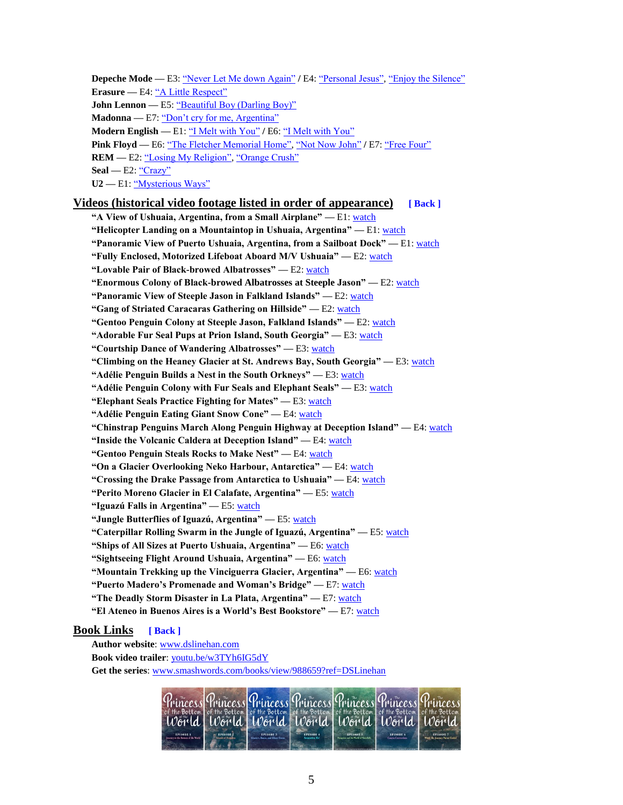<span id="page-4-0"></span>**Depeche Mode** — E3[: "Never Let Me down Again"](https://www.dslinehan.com/princess/princess-episode-3/music.php) / E4[: "Personal Jesus", "Enjoy the Silence"](https://www.dslinehan.com/princess/princess-episode-4/music.php) **Erasure —** E4[: "A Little Respect"](https://www.dslinehan.com/princess/princess-episode-4/music.php) **John Lennon** — E5[: "Beautiful Boy \(Darling Boy\)"](https://www.dslinehan.com/princess/princess-episode-5/music.php) **Madonna —** E7: ["Don't cry for me, Argentina"](https://www.dslinehan.com/princess/princess-episode-7/music.php) **Modern English —** E1[: "I Melt with You"](https://www.dslinehan.com/princess/princess-episode-1/music.php) **/** E6[: "I Melt with You"](https://www.dslinehan.com/princess/princess-episode-6/music.php) **Pink Floyd —** E6[: "The Fletcher Memorial Home", "Not Now John"](https://www.dslinehan.com/princess/princess-episode-6/music.php) **/** E7: ["Free Four"](https://www.dslinehan.com/princess/princess-episode-7/music.php) **REM** — E2: ["Losing My Religion", "Orange Crush"](https://www.dslinehan.com/princess/princess-episode-2/music.php) **Seal —** E2[: "Crazy"](https://www.dslinehan.com/princess/princess-episode-2/music.php) **U2 —** E1[: "Mysterious Ways"](https://www.dslinehan.com/princess/princess-episode-1/music.php)

## <span id="page-4-1"></span>**Videos (historical video footage listed in order of appearance) [\[ Back \]](#page-0-0)**

**―A View of Ushuaia, Argentina, from a Small Airplane‖ —** E1: [watch](https://www.dslinehan.com/princess/princess-episode-1/videos.php/#e1-ushuaia-airplane) **―Helicopter Landing on a Mountaintop in Ushuaia, Argentina‖ —** E1: [watch](https://www.dslinehan.com/princess/princess-episode-1/videos.php/#e1-ushuaia-helicopter) **―Panoramic View of Puerto Ushuaia, Argentina, from a Sailboat Dock‖ —** E1: [watch](https://www.dslinehan.com/princess/princess-episode-1/videos.php/#e1-ushuaia-port) **―Fully Enclosed, Motorized Lifeboat Aboard M/V Ushuaia‖ —** E2: [watch](https://www.dslinehan.com/princess/princess-episode-2/videos.php/#e2-porthole-lifeboat) **―Lovable Pair of Black-browed Albatrosses‖ —** E2: [watch](https://www.dslinehan.com/princess/princess-episode-2/videos.php/#e2-albatross-pair) "Enormous Colony of Black-browed Albatrosses at Steeple Jason" - E2[: watch](https://www.dslinehan.com/princess/princess-episode-2/videos.php/#e2-albatross-colony) **―Panoramic View of Steeple Jason in Falkland Islands‖ —** E2[: watch](https://www.dslinehan.com/princess/princess-episode-2/videos.php/#e2-steeple-jason) **―Gang of Striated Caracaras Gathering on Hillside‖ —** E2[: watch](https://www.dslinehan.com/princess/princess-episode-2/videos.php/#e2-striated-caracaras) **―Gentoo Penguin Colony at Steeple Jason, Falkland Islands‖ —** E2: [watch](https://www.dslinehan.com/princess/princess-episode-2/videos.php/#e2-gentoo-colony) **"Adorable Fur Seal Pups at Prion Island, South Georgia" — E3[: watch](https://www.dslinehan.com/princess/princess-episode-3/videos.php/#e3-fur-seals) ―Courtship Dance of Wandering Albatrosses‖ —** E3: [watch](https://www.dslinehan.com/princess/princess-episode-3/videos.php/#e3-wandering-albatrosses) **"Climbing on the Heaney Glacier at St. Andrews Bay, South Georgia" — E3[: watch](https://www.dslinehan.com/princess/princess-episode-3/videos.php/#e3-glacier-melting)** "Adélie Penguin Builds a Nest in the South Orkneys" — E3: [watch](https://www.dslinehan.com/princess/princess-episode-3/videos.php/#e3-adelie-rocks) **―Adélie Penguin Colony with Fur Seals and Elephant Seals‖ —** E3: [watch](https://www.dslinehan.com/princess/princess-episode-3/videos.php/#e3-adelie-colony) **"Elephant Seals Practice Fighting for Mates"** — E3: [watch](https://www.dslinehan.com/princess/princess-episode-3/videos.php/#e3-elephant-seals) **"Adélie Penguin Eating Giant Snow Cone" — E4[: watch](https://www.dslinehan.com/princess/princess-episode-4/videos.php/#e4-penguin-snowcone) ―Chinstrap Penguins March Along Penguin Highway at Deception Island‖ —** E4[: watch](https://www.dslinehan.com/princess/princess-episode-4/videos.php/#e4-penguin-highway) **"Inside the Volcanic Caldera at Deception Island"** — E4: [watch](https://www.dslinehan.com/princess/princess-episode-4/videos.php/#e4-deception-island) "Gentoo Penguin Steals Rocks to Make Nest" - E4: [watch](https://www.dslinehan.com/princess/princess-episode-4/videos.php/#e4-penguin-stealing) **"On a Glacier Overlooking Neko Harbour, Antarctica" — E4[: watch](https://www.dslinehan.com/princess/princess-episode-4/videos.php/#e4-neko-harbor) ―Crossing the Drake Passage from Antarctica to Ushuaia‖ —** E4: [watch](https://www.dslinehan.com/princess/princess-episode-4/videos.php/#e4-drake-passage) **―Perito Moreno Glacier in El Calafate, Argentina‖ —** E5[: watch](https://www.dslinehan.com/princess/princess-episode-5/videos.php/#e5-perito-moreno) **―Iguazú Falls in Argentina‖ —** E5: [watch](https://www.dslinehan.com/princess/princess-episode-5/videos.php/#e5-iguazu-falls) **―Jungle Butterflies of Iguazú, Argentina‖ —** E5: [watch](https://www.dslinehan.com/princess/princess-episode-5/videos.php/#e5-jungle-butterflies) **―Caterpillar Rolling Swarm in the Jungle of Iguazú, Argentina‖ —** E5: [watch](https://www.dslinehan.com/princess/princess-episode-5/videos.php/#e5-rolling-swarm) **―Ships of All Sizes at Puerto Ushuaia, Argentina‖ —** E6[: watch](https://www.dslinehan.com/princess/princess-episode-6/videos.php/#e6-ships-ushuaia) **―Sightseeing Flight Around Ushuaia, Argentina‖ —** E6[: watch](https://www.dslinehan.com/princess/princess-episode-6/videos.php/#e6-sightseeing-flight) **―Mountain Trekking up the Vinciguerra Glacier, Argentina‖ —** E6[: watch](https://www.dslinehan.com/princess/princess-episode-6/videos.php/#e6-vinciguerra-glacier) **―Puerto Madero's Promenade and Woman's Bridge‖ —** E7: [watch](https://www.dslinehan.com/princess/princess-episode-7/videos.php/#e7-puerto-madero) **―The Deadly Storm Disaster in La Plata, Argentina‖ —** E7[: watch](https://www.dslinehan.com/princess/princess-episode-7/videos.php/#e7-tormenta-argentina) **"El Ateneo in Buenos Aires is a World's Best Bookstore" — E7: [watch](https://www.dslinehan.com/princess/princess-episode-7/videos.php/#e7-el-ateneo)** 

# **Book Links [\[ Back \]](#page-0-0)**

**Author website**: [www.dslinehan.com](https://www.dslinehan.com/) **Book video trailer**: [youtu.be/w3TYh6IG5dY](https://youtu.be/w3TYh6IG5dY) **Get the series**: [www.smashwords.com/books/view/988659?ref=DSLinehan](https://www.smashwords.com/books/view/988659?ref=DSLinehan)